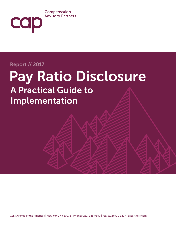### Compensation **Advisory Partners**

# Report // 2017

cap

# Pay Ratio Disclosure A Practical Guide to Implementation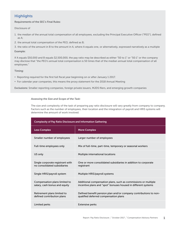# **Highlights**

#### Requirements of the SEC's Final Rules:

Disclosure of

- 1. the median of the annual total compensation of all employees, excluding the Principal Executive Officer ("PEO"), defined as A;
- 2. the annual total compensation of the PEO, defined as B;
- 3. the ratio of the amount in B to the amount in A, where A equals one, or alternatively, expressed narratively as a multiple

#### Example:

If A equals \$50,000 and B equals \$2,500,000, the pay ratio may be described as either "50 to 1" or "50:1" or the company may disclose that "the PEO's annual total compensation is 50 times that of the median annual total compensation of all employees."

#### Timing:

- Reporting required for the first full fiscal year beginning on or after January 1 2017.
- For calendar year companies, this means the proxy statement for the 2018 Annual Meeting

Exclusions: Smaller reporting companies, foreign private issuers, MJDS filers, and emerging growth companies

#### *Assessing the Size and Scope of the Task:*

The size and complexity of the task of preparing pay ratio disclosure will vary greatly from company to company. Factors such as the number of employees, their location and the integration of payroll and HRIS systems will determine the amount of work involved.

| <b>Complexity of Pay Ratio Disclosure and Information Gathering</b> |                                                                                                                                  |  |
|---------------------------------------------------------------------|----------------------------------------------------------------------------------------------------------------------------------|--|
| <b>Less Complex</b>                                                 | <b>More Complex</b>                                                                                                              |  |
| Smaller number of employees                                         | Larger number of employees                                                                                                       |  |
| Full-time employees only                                            | Mix of full-time, part-time, temporary or seasonal workers                                                                       |  |
| US only                                                             | Multiple international locations                                                                                                 |  |
| Single corporate registrant with<br>no consolidated subsidiaries    | One or more consolidated subsidiaries in addition to corporate<br>registrant                                                     |  |
| Single HRIS/payroll system                                          | Multiple HRIS/payroll systems                                                                                                    |  |
| Compensation plans limited to<br>salary, cash bonus and equity      | Additional compensation plans, such as commissions or multiple<br>incentive plans and "spot" bonuses housed in different systems |  |
| Retirement plans limited to<br>defined contribution plans           | Defined benefit pension plan and/or company contributions to non-<br>qualified deferred compensation plans                       |  |
| Limited perks                                                       | <b>Extensive perks</b>                                                                                                           |  |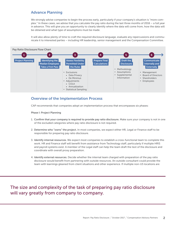# Advance Planning

We strongly advise companies to begin the process early, particularly if your company's situation is "more complex." In these cases, we advise that you calculate the pay ratio during the last three months of 2016 – a full year in advance. This will give you an opportunity to clearly identify where the data will come from, how the data will be obtained and what type of assumptions must be made.

It will also allow plenty of time to craft the required disclosure language, evaluate any repercussions and communicate it to interested parties – including HR leadership, senior management and the Compensation Committee.



## Overview of the Implementation Process

CAP recommends that companies adopt an implementation process that encompasses six phases:

Phase I: Project Planning

- 1. Confirm that your company is required to provide pay ratio disclosure. Make sure your company is not in one of the excluded categories where pay ratio disclosure is not required.
- 2. Determine who "owns" the project. In most companies, we expect either HR, Legal or Finance staff to be responsible for preparing pay ratio disclosure.
- 3. Identify internal resources. We expect most companies to establish a cross-functional team to complete this work. HR and Finance staff will benefit from assistance from Technology staff, particularly if multiple HRIS and payroll systems exist. A member of the Legal staff can help the team draft the text of the disclosure and coordinate with overall proxy preparation.
- 4. Identify external resources. Decide whether the internal team charged with preparation of the pay ratio disclosure would benefit from partnering with outside resources. An outside consultant could provide the team with learnings gleaned from client situations and other experience. If multiple non-US locations are

# The size and complexity of the task of preparing pay ratio disclosure will vary greatly from company to company.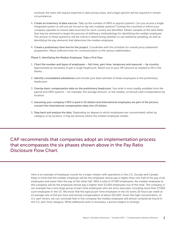involved, the team will require expertise in data privacy laws, and a legal opinion will be required in certain circumstances.

- 5. Create an inventory of data sources. Tally up the number of HRIS or payroll systems. Can you access a single integrated system or will you be forced to tap into multiple systems? Overlay the countries in which your company operates to ensure data source(s) for each country are identified. Obtain samples of the data fields that may be retrieved to begin the process of defining a methodology for identifying the median employee. The answer to these questions will be critical in determining whether to use statistical sampling, as well as identifying the pay elements that determine the median employee.
- 6. Create a preliminary time line for the project. Coordinate with the schedule for overall proxy statement preparation. Allow sufficient time for communication to the various stakeholders.

Phase II: Identifying the Median Employee: Take a First Pass

- 1. Chart the number and types of employees full-time, part-time, temporary and seasonal -- by country. Approximate as necessary to get a rough headcount. Reach out to your HR network as needed to fill in the blanks.
- 2. Identify consolidated subsidiaries and include your best estimate of these employees in the preliminary headcount.
- 3. Overlay basic compensation data on the preliminary headcount. Use what is most readily available from the payroll and HRIS systems – for example, the average amount, or the median, of annual cash compensation by location.
- 4. Assuming your company's PEO is paid in US dollars and international employees are part of the picture, convert the international compensation data into US dollars.
- 5. Step back and analyze the data. Depending on degree to which employees are concentrated, either by category or by location, it may be obvious where the median employee resides.

CAP recommends that companies adopt an implementation process that encompasses the six phases shown above in the Pay Ratio Disclosure Flow Chart.

> Here is an example of employee counts for a major retailer with operations in the U.S., Europe and Canada. Keep in mind that the median employee will be the employee whose pay is higher than one-half of the pay of all employees and lower than the pay of the other half. With a total of 47,000 employees, the median employee at this company will be the employee whose pay is higher than 23,500 employees out of the total. The company in our example has a very large group of part-time employees who are store associate, including more than 27,000 such employees in the US. We know that the typical part-time employee in the US works 20 hours per week at an average rate of \$12 per hour and annual compensation of about \$12,000. Given the high concentration, of U.S. part-timers, we can conclude that in this company the median employee will almost certainly be found in the U.S. part-time category. While additional work is necessary, a picture begins to emerge.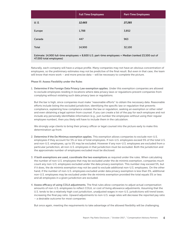|        | <b>Full Time Employees</b> | <b>Part-Time Employees</b> |
|--------|----------------------------|----------------------------|
| U.S.   | 12,665                     | 27,285                     |
| Europe | 1,788                      | 3,852                      |
| Canada | 447                        | 963                        |
| Total  | 14,900                     | 32,100                     |

Estimate: 14,900 full-time employees + 8,600 U.S. part-time employees = Median (ranked 23,500 out of 47,000 total employees)

Naturally, each company will have a unique profile. Many companies may not have an obvious concentration of employees, so the preliminary estimates may not be predictive of the final result. But even in that case, the team will know that more work – and more precise data – will be necessary to complete the picture.

#### Phase III: Assess Flexibility under the Rules

1. Determine if the Foreign Data Privacy Law exemption applies. Under this exemption companies are allowed to exclude employees residing in locations where data privacy laws or regulations prevent companies from complying without violating such data privacy laws or regulations.

But the bar is high, since companies must make "reasonable efforts" to obtain the necessary data. Reasonable efforts include listing the excluded jurisdiction, identifying the specific law or regulation that prevents compliance, explaining how compliance violates the law or regulation, seeking an exemption or other relief and even obtaining a legal opinion from counsel. If you can create a list of the pay for each employee and not include any personally identifiable information (e.g., just number the employees without using their regular employee number), then you likely will have to include them in the calculation.

We strongly urge clients to bring their privacy officer or legal counsel into the picture early to make this determination up front.

- 2. Determine if the De Minimus exemption applies. This exemption allows companies to exclude non-U.S. employees if they account for 5% or less of total employees. If non-U.S. employees exceed 5% of the total U.S. and non-U.S. employees, up to 5% may be excluded. However if any non-U.S. employees are excluded from a particular jurisdiction, all non-U.S. employees in that jurisdiction must be excluded. Both the jurisdiction and the approximate number of employees excluded must be disclosed.
- 3. If both exemptions are used, coordinate the two exemptions as required under the rules. When calculating the number of non-U.S. employees that may be excluded under the de minimis exemption, companies much count any non-U.S. employees excluded under the data privacy exemption. This number may exceed 5%, but if it does, the de minimis exemption may not be used to exclude additional non-U.S. employees. On the other hand, if the number of non-U.S. employees excluded under data privacy exemption is less than 5%, additional non-U.S. employees may be excluded under the de minimis exemption provided the total equals 5% or less and all employees in a given jurisdiction are excluded.
- 4. Assess efficacy of using COLA adjustments. The final rules allow companies to adjust actual compensation amounts of non-U.S. employees to reflect COLA, or cost of living allowance adjustments. Assuming that the U.S. tends to be a relatively high cost jurisdiction, unadjusted wages in non-U.S. jurisdictions will trend lower, increasing the final pay ratio. Upward adjustments to non-U.S. wage rates will decrease the reported pay ratio – a desirable outcome for most companies

But once again, meeting the requirements to take advantage of the allowed flexibility will be challenging.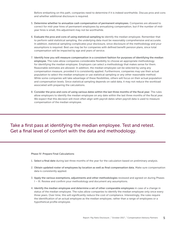Before embarking on this path, companies need to determine if it is indeed worthwhile. Discuss pros and cons and whether additional disclosure is required.

- 5. Determine whether to annualize cash compensation of permanent employees. Companies are allowed to correct for mid-year hires of permanent employees by annualizing compensation, but if the number of midyear hires is small, this adjustment may not be worthwhile.
- 6. Evaluate the pros and cons of using statistical sampling to identify the median employee. Remember that to perform valid statistical sampling, the underlying data must be reasonably comprehensive and accurate. In addition, statistical sampling complicates your disclosure, since disclosure of the methodology and your assumptions is required. Best use may be for companies with defined benefit pension plans, since total compensation will be impacted by age and years of service.
- 7. Identify how you will measure compensation in a consistent fashion for purposes of identifying the median employee. The rules allow companies considerable flexibility to choose an appropriate methodology for identifying the median employee. Employers can select a methodology that makes sense for them. Reasonable estimates are allowed. In addition, the median employee can be selected by using any compensation measure, provided it is consistently applied. Furthermore, companies may use their actual population to select the median employee or use statistical sampling or any other reasonable method. While some companies will take advantage of these flexibilities, others will focus on their actual population and compensation levels. Since statistical sampling depends on valid data, it may not reduce the workload associated with preparing the calculations.
- 8. Consider the pros and cons of using various dates within the last three months of the fiscal year. The rules allow employers to identify the median employee on any date within the last three months of the fiscal year. We expect that this decision will most often align with payroll dates when payroll data is used to measure compensation of the median employee.

# Take a first pass at identifying the median employee. Test and retest. Get a final level of comfort with the data and methodology.

#### Phase IV: Prepare Final Calculations

- 1. Select a final date during last three months of the year for the calculation based on preliminary analysis.
- 2. Obtain updated roster of employees by location as well as final compensation data. Make sure compensation data is consistently applied.
- 3. Apply the various exemptions, adjustments and other methodologies reviewed and agreed on during Phases I – III. Review and confirm your methodology and document any assumptions.
- 4. Identify the median employee and determine a set of other comparable employees in case of a change in status of the median employee. The rules allow companies to identify the median employee only once every three years. Over time, this will significantly reduce the cost of compliance. Interestingly, the rules require the identification of an actual employee as the median employee, rather than a range of employees or a hypothetical profile employee.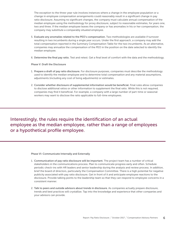The exception to the three-year rule involves instances where a change in the employee population or a change in employee compensation arrangements could reasonably result in a significant change in pay ratio disclosure. Assuming no significant changes, the company must calculate annual compensation of the median employee using the methodology for proxy disclosure, subject to reasonable estimates, for years one, two and three. If the median employee leaves the company or has anomalies in his or her compensation, the company may substitute a comparably situated employee.

- 5. Evaluate any anomalies related to the PEO's compensation. Two methodologies are available if turnover resulting in two incumbents during a single year occurs. Under the first approach, a company may add the total compensation reported in the Summary Compensation Table for the two incumbents. As an alternative, companies may annualize the compensation of the PEO in the position on the date selected to identify the median employee.
- 6. Determine the final pay ratio. Test and retest. Get a final level of comfort with the data and the methodology.

#### Phase V: Draft the Disclosure

- 1. Prepare a draft of pay ratio disclosure. For disclosure purposes, companies must describe the methodology used to identify the median employee and to determine total compensation and any material assumptions, adjustments (including any cost of living adjustments) or estimates.
- 2. Consider whether disclosure of supplemental information would be beneficial. Final rules allow companies to disclose additional ratios or other information to supplement the final ratio. While this is not required, companies may find it beneficial. For example, a company with a large number of part-time or seasonal workers may want to disclose the ratio applicable to full-time employees.

Interestingly, the rules require the identification of an actual employee as the median employee, rather than a range of employees or a hypothetical profile employee.

#### Phase VI: Communicate Internally and Externally

- 1. Communication of pay ratio disclosure will be important. The project team has a number of critical stakeholders in the communications process. Plan to communicate progress early and often. Schedule periodic check-ins with HR leaders and senior leadership during the analysis and review process. In addition, brief the board of directors, particularly the Compensation Committee. There is a high potential for negative publicity associated with pay ratio disclosure. Get in front of it and anticipate employee reactions to the disclosure. Provide talking points to the leadership team so that they can respond to employee concerns in a consistent manner.
- 2. Talk to peers and outside advisors about trends in disclosure. As companies actually prepare disclosure, trends and best practices will crystallize. Tap into the knowledge and experience that other companies and your advisors can provide.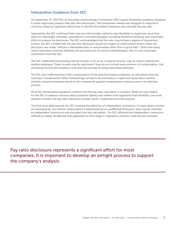# Interpretive Guidance from SEC

On September 21, 2017 the US Securities and Exchange Commission (SEC) issued interpretive guidance designed to assist registrants prepare their pay ratio disclosures. The interpretive release was designed to respond to concerns raised by registrants about how to identify the median employee and calculate the pay ratio.

Importantly, the SEC confirmed that rules are intentionally crafted to give flexibility to registrants since they allow for reasonable estimates, assumptions and methodologies, including statistical sampling; and reasonable effort to prepare the disclosure. The SEC acknowledged that the ratio may include a degree of imprecision. Further, the SEC clarified that the pay ratio disclosure would not trigger an enforcement action unless the disclosure was made "without a reasonable basis or was provided other than in good faith." Given that many clients have been intensely debating the pros and cons of various methodologies, this is a very important clarification from the SEC.

The SEC reaffirmed that existing internal records, such as tax or payroll records, may be used to identify the median employee. These records may be used even if they do not include every element of compensation. Use of existing records are certainly in line with the concept of using reasonable estimates.

The SEC also reaffirmed that if the compensation of the selected median employee, as calculated using the Summary Compensation Table methodology, proved to be anomalous, a registrant could select another similarly-situated employee based on the consistently applied compensation measure used in its selection process.

All of this interpretative guidance confirms that the pay ratio calculation is complex. While it is very helpful for the SEC to address concerns about potential liability and reaffirm that registrants have flexibility, one must question whether the pay ratio disclosure actually serves a legitimate business purpose.

The final issue addressed by the SEC involved the definition of independent contractors. In cases where workers are employed by, and whose compensation is determined by an unaffiliated third party, they may be classified as independent contractors and excluded from the calculation. The SEC affirmed that independent contractors defined by widely recognized tests applicable in other legal or regulatory contexts could also be excluded.

Pay ratio disclosure represents a significant effort for most companies. It is important to develop an airtight process to support the company's analysis.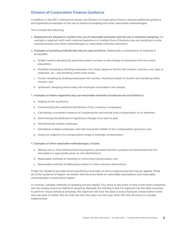# Division of Corporation Finance Guidance

In addition to the SEC's interpretive release, the Division of Corporation Finance released additional guidance and hypothetical examples of the use of statistical sampling and other reasonable methodologies.

This included the following:

- 1. Registrants are allowed to combine the use of reasonable estimates with the use of statistical sampling. For example a registrant with multi-national operations or multiple lines of business may use sampling in some areas/businesses and other methodologies or reasonable estimates elsewhere.
- 2. Examples of sampling methods that may be used are below. Additionally a combination of methods is acceptable.
	- a. Simple random sampling by selecting random number or percentage of employees from the entire population;
	- b. Stratified sampling by dividing employees into strata, based on factors like location, business unit, type of employee, etc., and sampling within each strata;
	- c. Cluster sampling by dividing employees into clusters, drawing a subset of clusters and sampling within clusters; and
	- d. Systematic sampling where every nth employee is included in the sample.
- 3. Examples of where registrants may use reasonable estimates include but are not limited to:
	- a. Analysis of the workforce;
	- b. Characterizing the statistical distribution of the company's employees;
	- c. Calculating a consistent measure of compensation and annual total compensation or its elements;
	- d. Determining the likelihood of significant changes from year to year;
	- e. Identifying the median employee;
	- f. Identifying multiple employees who fall around the middle of the compensation spectrum; and
	- g. Using the midpoint of a compensation range to estimate compensation.

#### 4. Examples of other reasonable methodologies, include:

- a. Making one or more distributional assumptions, provided that the company has determined that the assumption is appropriate given its own distributions;
- b. Reasonable methods of imputing or correcting missing values; and
- c. Reasonable methods of addressing outliers or other extreme observations.

Finally the Guidance provides three hypothetical examples of various approaches that may be applied. While all of the Guidance is helpful, we believe that the extra detail on reasonable assumptions and reasonable methodologies is particularly helpful.

In contrast, complex methods of sampling are less helpful. Our sense at this point in time is that most companies will not employ extensive statistical sampling. Basically the thinking is that if a registrant has the data necessary to perform robust statistical sampling, the registrant will have the data to array employee compensation levels and calculate a median. But we shall see how this plays out next year when the new disclosure is actually implemented.